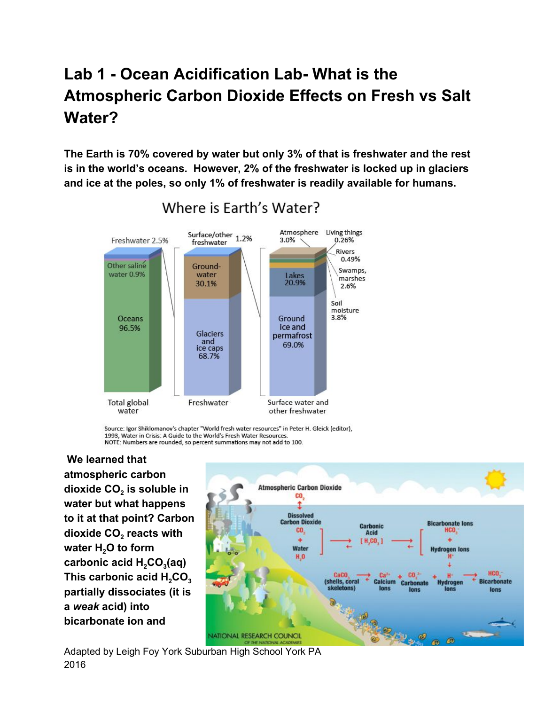# **Lab 1 - Ocean Acidification Lab- What is the Atmospheric Carbon Dioxide Effects on Fresh vs Salt Water?**

**The Earth is 70% covered by water but only 3% of that is freshwater and the rest is in the world's oceans. However, 2% of the freshwater is locked up in glaciers and ice at the poles, so only 1% of freshwater is readily available for humans.**



Where is Farth's Water?

Source: Igor Shiklomanov's chapter "World fresh water resources" in Peter H. Gleick (editor). 1993, Water in Crisis: A Guide to the World's Fresh Water Resources. NOTE: Numbers are rounded, so percent summations may not add to 100.

 **We learned that atmospheric carbon dioxide CO<sup>2</sup> is soluble in water but what happens to it at that point? Carbon dioxide CO<sup>2</sup> reacts with water H<sup>2</sup>O to form carbonic acid H<sup>2</sup>CO<sup>3</sup> (aq) This carbonic acid H<sup>2</sup>CO<sup>3</sup> partially dissociates (it is a** *weak* **acid) into bicarbonate ion and**



Adapted by Leigh Foy York Suburban High School York PA 2016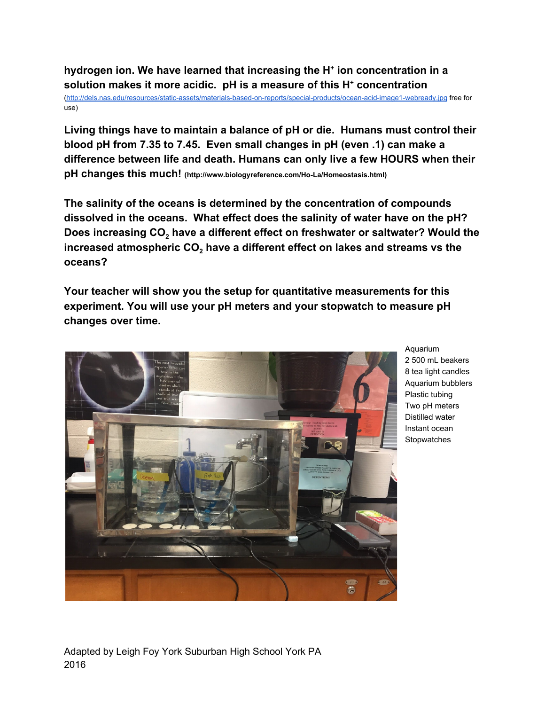**hydrogen ion. We have learned that increasing the H + ion concentration in a solution makes it more acidic. pH is a measure of this H + concentration**

[\(http://dels.nas.edu/resources/static-assets/materials-based-on-reports/special-products/ocean-acid-image1-webready.jpg](http://dels.nas.edu/resources/static-assets/materials-based-on-reports/special-products/ocean-acid-image1-webready.jpg) free for use)

**Living things have to maintain a balance of pH or die. Humans must control their blood pH from 7.35 to 7.45. Even small changes in pH (even .1) can make a difference between life and death. Humans can only live a few HOURS when their pH changes this much! (http://www.biologyreference.com/Ho-La/Homeostasis.html)**

**The salinity of the oceans is determined by the concentration of compounds dissolved in the oceans. What effect does the salinity of water have on the pH? Does increasing CO<sup>2</sup> have a different effect on freshwater or saltwater? Would the increased atmospheric CO<sup>2</sup> have a different effect on lakes and streams vs the oceans?**

**Your teacher will show you the setup for quantitative measurements for this experiment. You will use your pH meters and your stopwatch to measure pH changes over time.**



Aquarium 2 500 mL beakers 8 tea light candles Aquarium bubblers Plastic tubing Two pH meters Distilled water Instant ocean **Stopwatches**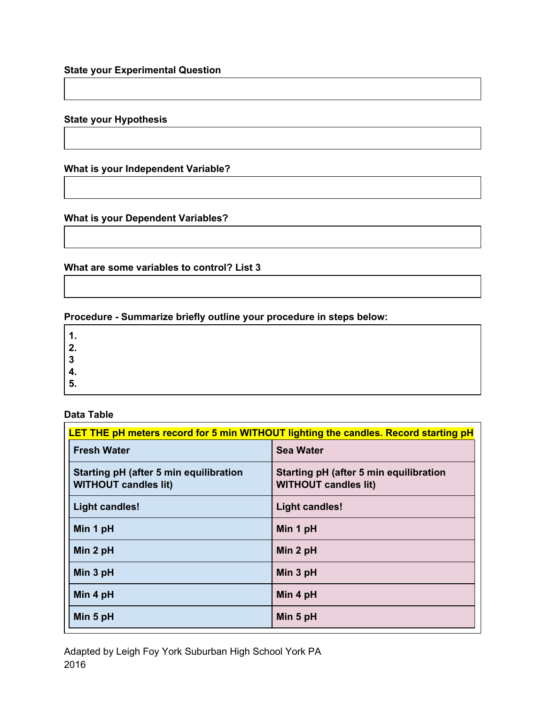# **State your Experimental Question**

## **State your Hypothesis**

# **What is your Independent Variable?**

## **What is your Dependent Variables?**

**What are some variables to control? List 3**

## **Procedure - Summarize briefly outline your procedure in steps below:**

**1.**

- **2.**
- **3**
- **4.**
- **5.**

#### **Data Table**

| LET THE pH meters record for 5 min WITHOUT lighting the candles. Record starting pH |                                                                       |
|-------------------------------------------------------------------------------------|-----------------------------------------------------------------------|
| <b>Fresh Water</b>                                                                  | <b>Sea Water</b>                                                      |
| Starting pH (after 5 min equilibration<br><b>WITHOUT candles lit)</b>               | Starting pH (after 5 min equilibration<br><b>WITHOUT candles lit)</b> |
| <b>Light candles!</b>                                                               | <b>Light candles!</b>                                                 |
| Min 1 pH                                                                            | Min 1 pH                                                              |
| Min 2 pH                                                                            | Min 2 pH                                                              |
| Min 3 pH                                                                            | Min 3 pH                                                              |
| Min 4 pH                                                                            | Min 4 pH                                                              |
| Min 5 pH                                                                            | Min 5 pH                                                              |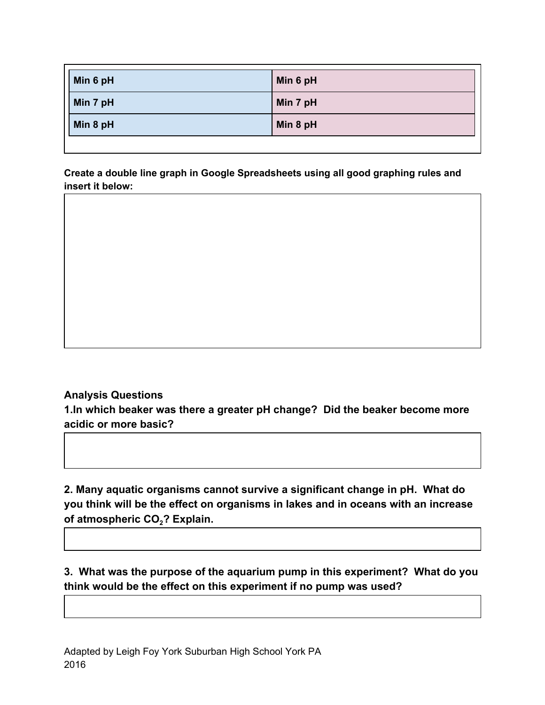| Min 7 pH<br>Min 7 pH | Min 6 pH | Min 6 pH |
|----------------------|----------|----------|
|                      |          |          |
|                      | Min 8 pH | Min 8 pH |

**Create a double line graph in Google Spreadsheets using all good graphing rules and insert it below:**

# **Analysis Questions**

**1.In which beaker was there a greater pH change? Did the beaker become more acidic or more basic?**

**2. Many aquatic organisms cannot survive a significant change in pH. What do you think will be the effect on organisms in lakes and in oceans with an increase of atmospheric CO<sup>2</sup>? Explain.**

**3. What was the purpose of the aquarium pump in this experiment? What do you think would be the effect on this experiment if no pump was used?**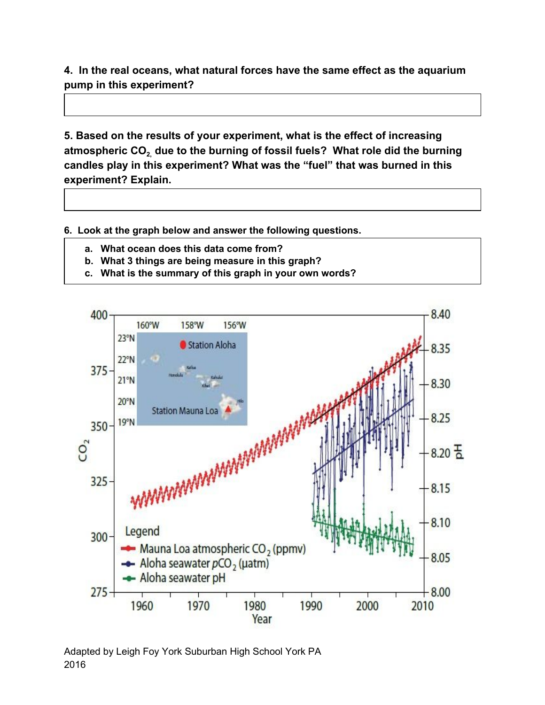**4. In the real oceans, what natural forces have the same effect as the aquarium pump in this experiment?**

**5. Based on the results of your experiment, what is the effect of increasing atmospheric CO2, due to the burning of fossil fuels? What role did the burning candles play in this experiment? What was the "fuel" that was burned in this experiment? Explain.**

**6. Look at the graph below and answer the following questions.**

- **a. What ocean does this data come from?**
- **b. What 3 things are being measure in this graph?**
- **c. What is the summary of this graph in your own words?**